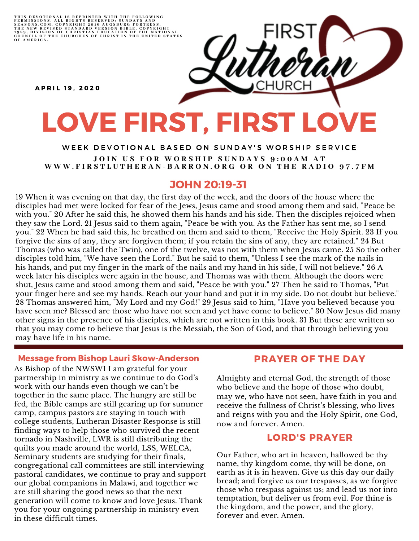THIS DEVOTIONAL IS REPRINTED WITH THE FOLLOWING<br>PERMISSIONS, ALL RIGHTS RESERVED: SUNDAYS AND<br>SEASONS.COM. COPYRIGHT 2016 AUGSBURG FORTRESS.<br>THE NEW REVISED STANDARD VERSION BIBLE, COPYRIGHT<br>1959, DIVISION OF CHRISTIAN EDU

**A P R I L 19. 2020** 

# LOVE FIRST, FIRST LOVE

WEEK DEVOTIONAL BASED ON SUNDAY'S WORSHIP SERVICE JOIN US FOR WORSHIP SUNDAYS 9:00AM AT WWW.FIRSTLUTHERAN-BARRON.ORG OR ON THE RADIO 97.7FM

### JOHN 20:19-31

19 When it was evening on that day, the first day of the week, and the doors of the house where the disciples had met were locked for fear of the Jews, Jesus came and stood among them and said, "Peace be with you." 20 After he said this, he showed them his hands and his side. Then the disciples rejoiced when they saw the Lord. 21 Jesus said to them again, "Peace be with you. As the Father has sent me, so I send you." 22 When he had said this, he breathed on them and said to them, "Receive the Holy Spirit. 23 If you forgive the sins of any, they are forgiven them; if you retain the sins of any, they are retained." 24 But Thomas (who was called the Twin), one of the twelve, was not with them when Jesus came. 25 So the other disciples told him, "We have seen the Lord." But he said to them, "Unless I see the mark of the nails in his hands, and put my finger in the mark of the nails and my hand in his side, I will not believe." 26 A week later his disciples were again in the house, and Thomas was with them. Although the doors were shut, Jesus came and stood among them and said, "Peace be with you." 27 Then he said to Thomas, "Put your finger here and see my hands. Reach out your hand and put it in my side. Do not doubt but believe." 28 Thomas answered him, "My Lord and my God!" 29 Jesus said to him, "Have you believed because you have seen me? Blessed are those who have not seen and yet have come to believe." 30 Now Jesus did many other signs in the presence of his disciples, which are not written in this book. 31 But these are written so that you may come to believe that Jesus is the Messiah, the Son of God, and that through believing you may have life in his name.

#### Message from Bishop Lauri Skow-Anderson

As Bishop of the NWSWI I am grateful for your partnership in ministry as we continue to do God's work with our hands even though we can't be together in the same place. The hungry are still be fed, the Bible camps are still gearing up for summer camp, campus pastors are staying in touch with college students, Lutheran Disaster Response is still finding ways to help those who survived the recent tornado in Nashville, LWR is still distributing the quilts you made around the world, LSS, WELCA, Seminary students are studying for their finals, congregational call committees are still interviewing pastoral candidates, we continue to pray and support our global companions in Malawi, and together we are still sharing the good news so that the next generation will come to know and love Jesus. Thank you for your ongoing partnership in ministry even in these difficult times.

#### PRAYER OF THE DAY

Almighty and eternal God, the strength of those who believe and the hope of those who doubt, may we, who have not seen, have faith in you and receive the fullness of Christ's blessing, who lives and reigns with you and the Holy Spirit, one God, now and forever. Amen.

#### LORD'S PRAYER

Our Father, who art in heaven, hallowed be thy name, thy kingdom come, thy will be done, on earth as it is in heaven. Give us this day our daily bread; and forgive us our trespasses, as we forgive those who trespass against us; and lead us not into temptation, but deliver us from evil. For thine is the kingdom, and the power, and the glory, forever and ever. Amen.